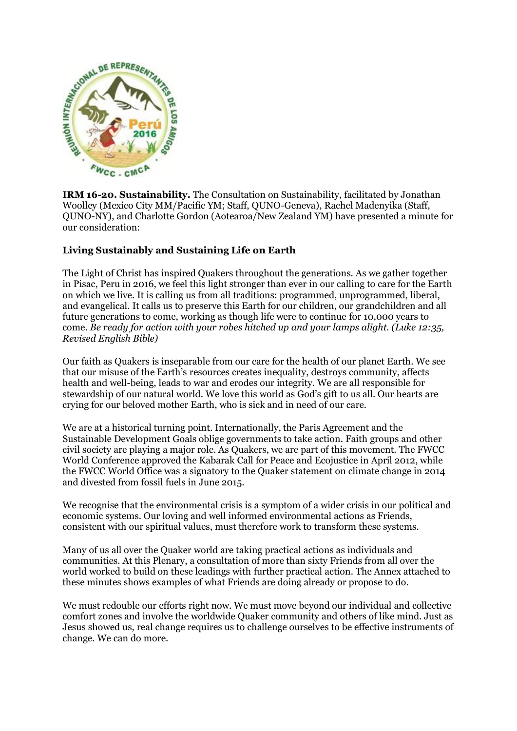

**IRM 16-20. Sustainability.** The Consultation on Sustainability, facilitated by Jonathan Woolley (Mexico City MM/Pacific YM; Staff, QUNO-Geneva), Rachel Madenyika (Staff, QUNO-NY), and Charlotte Gordon (Aotearoa/New Zealand YM) have presented a minute for our consideration:

## **Living Sustainably and Sustaining Life on Earth**

The Light of Christ has inspired Quakers throughout the generations. As we gather together in Pisac, Peru in 2016, we feel this light stronger than ever in our calling to care for the Earth on which we live. It is calling us from all traditions: programmed, unprogrammed, liberal, and evangelical. It calls us to preserve this Earth for our children, our grandchildren and all future generations to come, working as though life were to continue for 10,000 years to come. *Be ready for action with your robes hitched up and your lamps alight. (Luke 12:35, Revised English Bible)*

Our faith as Quakers is inseparable from our care for the health of our planet Earth. We see that our misuse of the Earth's resources creates inequality, destroys community, affects health and well-being, leads to war and erodes our integrity. We are all responsible for stewardship of our natural world. We love this world as God's gift to us all. Our hearts are crying for our beloved mother Earth, who is sick and in need of our care.

We are at a historical turning point. Internationally, the Paris Agreement and the Sustainable Development Goals oblige governments to take action. Faith groups and other civil society are playing a major role. As Quakers, we are part of this movement. The FWCC World Conference approved the Kabarak Call for Peace and Ecojustice in April 2012, while the FWCC World Office was a signatory to the Quaker statement on climate change in 2014 and divested from fossil fuels in June 2015.

We recognise that the environmental crisis is a symptom of a wider crisis in our political and economic systems. Our loving and well informed environmental actions as Friends, consistent with our spiritual values, must therefore work to transform these systems.

Many of us all over the Quaker world are taking practical actions as individuals and communities. At this Plenary, a consultation of more than sixty Friends from all over the world worked to build on these leadings with further practical action. The Annex attached to these minutes shows examples of what Friends are doing already or propose to do.

We must redouble our efforts right now. We must move beyond our individual and collective comfort zones and involve the worldwide Quaker community and others of like mind. Just as Jesus showed us, real change requires us to challenge ourselves to be effective instruments of change. We can do more.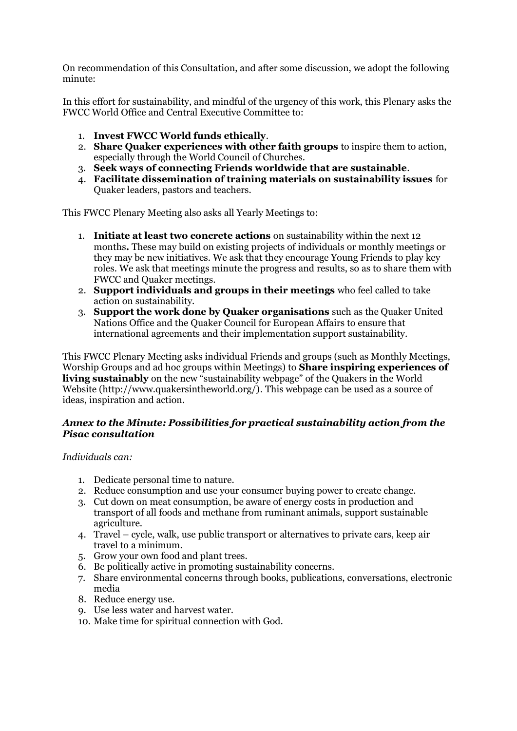On recommendation of this Consultation, and after some discussion, we adopt the following minute:

In this effort for sustainability, and mindful of the urgency of this work, this Plenary asks the FWCC World Office and Central Executive Committee to:

- 1. **Invest FWCC World funds ethically**.
- 2. **Share Quaker experiences with other faith groups** to inspire them to action, especially through the World Council of Churches.
- 3. **Seek ways of connecting Friends worldwide that are sustainable**.
- 4. **Facilitate dissemination of training materials on sustainability issues** for Quaker leaders, pastors and teachers.

This FWCC Plenary Meeting also asks all Yearly Meetings to:

- 1. **Initiate at least two concrete actions** on sustainability within the next 12 months**.** These may build on existing projects of individuals or monthly meetings or they may be new initiatives. We ask that they encourage Young Friends to play key roles. We ask that meetings minute the progress and results, so as to share them with FWCC and Quaker meetings.
- 2. **Support individuals and groups in their meetings** who feel called to take action on sustainability.
- 3. **Support the work done by Quaker organisations** such as the Quaker United Nations Office and the Quaker Council for European Affairs to ensure that international agreements and their implementation support sustainability.

This FWCC Plenary Meeting asks individual Friends and groups (such as Monthly Meetings, Worship Groups and ad hoc groups within Meetings) to **Share inspiring experiences of living sustainably** on the new "sustainability webpage" of the Quakers in the World Website (http://www.quakersintheworld.org/). This webpage can be used as a source of ideas, inspiration and action.

## *Annex to the Minute: Possibilities for practical sustainability action from the Pisac consultation*

*Individuals can:*

- 1. Dedicate personal time to nature.
- 2. Reduce consumption and use your consumer buying power to create change.
- 3. Cut down on meat consumption, be aware of energy costs in production and transport of all foods and methane from ruminant animals, support sustainable agriculture.
- 4. Travel cycle, walk, use public transport or alternatives to private cars, keep air travel to a minimum.
- 5. Grow your own food and plant trees.
- 6. Be politically active in promoting sustainability concerns.
- 7. Share environmental concerns through books, publications, conversations, electronic media
- 8. Reduce energy use.
- 9. Use less water and harvest water.
- 10. Make time for spiritual connection with God.